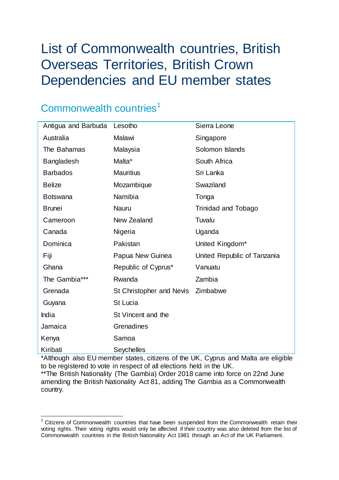# List of Commonwealth countries, British Overseas Territories, British Crown Dependencies and EU member states

## Commonwealth countries<sup>[1](#page-0-0)</sup>

| Antigua and Barbuda | Lesotho                  | Sierra Leone                |
|---------------------|--------------------------|-----------------------------|
| Australia           | Malawi                   | Singapore                   |
| The Bahamas         | Malaysia                 | Solomon Islands             |
| <b>Bangladesh</b>   | Malta*                   | South Africa                |
| <b>Barbados</b>     | <b>Mauritius</b>         | Sri Lanka                   |
| <b>Belize</b>       | Mozambique               | Swaziland                   |
| <b>Botswana</b>     | Namibia                  | Tonga                       |
| <b>Brunei</b>       | Nauru                    | Trinidad and Tobago         |
| Cameroon            | New Zealand              | Tuvalu                      |
| Canada              | Nigeria                  | Uganda                      |
| Dominica            | Pakistan                 | United Kingdom*             |
| Fiji                | Papua New Guinea         | United Republic of Tanzania |
| Ghana               | Republic of Cyprus*      | Vanuatu                     |
| The Gambia***       | Rwanda                   | Zambia                      |
| Grenada             | St Christopher and Nevis | Zimbabwe                    |
| Guyana              | <b>St Lucia</b>          |                             |
| India               | St Vincent and the       |                             |
| Jamaica             | Grenadines               |                             |
| Kenya               | Samoa                    |                             |
| Kiribati            | Seychelles               |                             |

\*Although also EU member states, citizens of the UK, Cyprus and Malta are eligible to be registered to vote in respect of all elections held in the UK.

\*\*The British Nationality (The Gambia) Order 2018 came into force on 22nd June amending the British Nationality Act 81, adding The Gambia as a Commonwealth country.

<span id="page-0-0"></span> <sup>1</sup> Citizens of Commonwealth countries that have been suspended from the Commonwealth retain their voting rights. Their voting rights would only be affected if their country was also deleted from the list of Commonwealth countries in the British Nationality Act 1981 through an Act of the UK Parliament.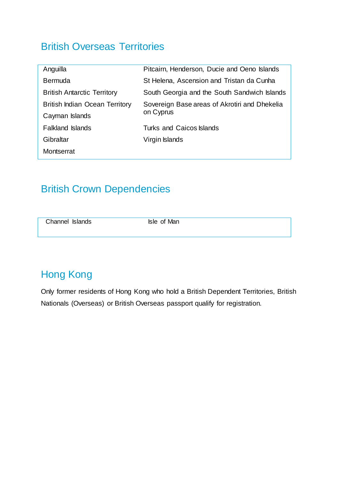#### British Overseas Territories

| Anguilla                              | Pitcairn, Henderson, Ducie and Oeno Islands   |  |
|---------------------------------------|-----------------------------------------------|--|
| <b>Bermuda</b>                        | St Helena, Ascension and Tristan da Cunha     |  |
| <b>British Antarctic Territory</b>    | South Georgia and the South Sandwich Islands  |  |
| <b>British Indian Ocean Territory</b> | Sovereign Base areas of Akrotiri and Dhekelia |  |
| Cayman Islands                        | on Cyprus                                     |  |
| <b>Falkland Islands</b>               | <b>Turks and Caicos Islands</b>               |  |
| Gibraltar                             | Virgin Islands                                |  |
| Montserrat                            |                                               |  |
|                                       |                                               |  |

#### British Crown Dependencies

| Channel Islands | Isle of Man |  |
|-----------------|-------------|--|
|                 |             |  |

### Hong Kong

Only former residents of Hong Kong who hold a British Dependent Territories, British Nationals (Overseas) or British Overseas passport qualify for registration.